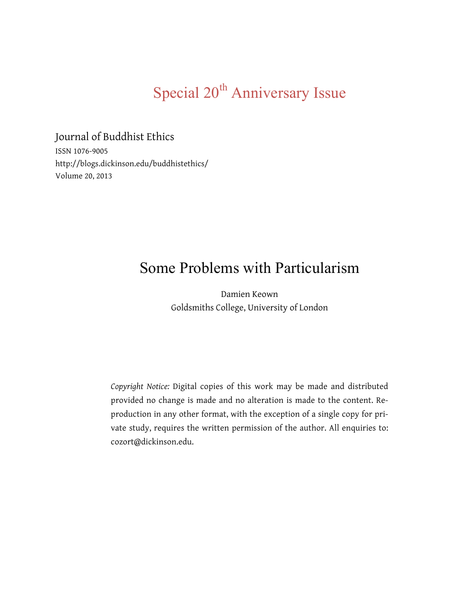# Special 20<sup>th</sup> Anniversary Issue

Journal of Buddhist Ethics ISSN 1076-9005

http://blogs.dickinson.edu/buddhistethics/ Volume 20, 2013

# Some Problems with Particularism

Damien Keown Goldsmiths College, University of London

*Copyright Notice:* Digital copies of this work may be made and distributed provided no change is made and no alteration is made to the content. Reproduction in any other format, with the exception of a single copy for private study, requires the written permission of the author. All enquiries to: cozort@dickinson.edu.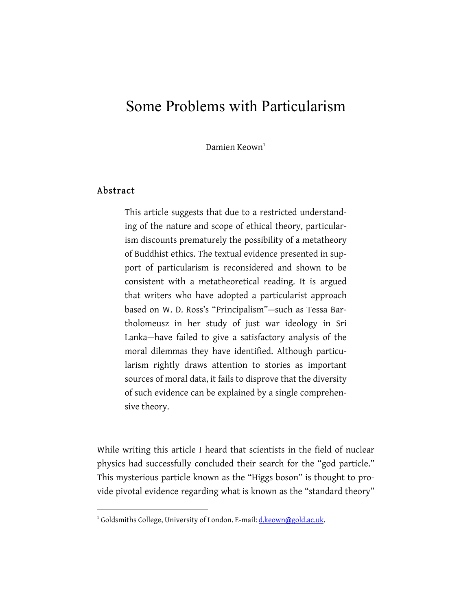# Some Problems with Particularism

Damien Keown $1$ 

# Abstract

 $\overline{a}$ 

This article suggests that due to a restricted understanding of the nature and scope of ethical theory, particularism discounts prematurely the possibility of a metatheory of Buddhist ethics. The textual evidence presented in support of particularism is reconsidered and shown to be consistent with a metatheoretical reading. It is argued that writers who have adopted a particularist approach based on W. D. Ross's "Principalism"—such as Tessa Bartholomeusz in her study of just war ideology in Sri Lanka—have failed to give a satisfactory analysis of the moral dilemmas they have identified. Although particularism rightly draws attention to stories as important sources of moral data, it fails to disprove that the diversity of such evidence can be explained by a single comprehensive theory.

While writing this article I heard that scientists in the field of nuclear physics had successfully concluded their search for the "god particle." This mysterious particle known as the "Higgs boson" is thought to provide pivotal evidence regarding what is known as the "standard theory"

<sup>&</sup>lt;sup>1</sup> Goldsmiths College, University of London. E-mail: d.keown@gold.ac.uk.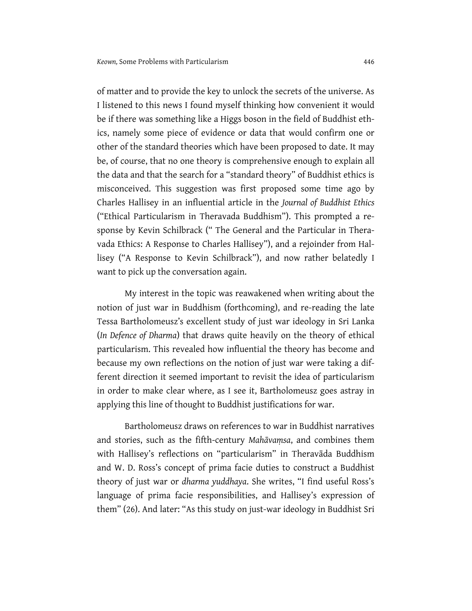of matter and to provide the key to unlock the secrets of the universe. As I listened to this news I found myself thinking how convenient it would be if there was something like a Higgs boson in the field of Buddhist ethics, namely some piece of evidence or data that would confirm one or other of the standard theories which have been proposed to date. It may be, of course, that no one theory is comprehensive enough to explain all the data and that the search for a "standard theory" of Buddhist ethics is misconceived. This suggestion was first proposed some time ago by Charles Hallisey in an influential article in the *Journal of Buddhist Ethics*  ("Ethical Particularism in Theravada Buddhism"). This prompted a response by Kevin Schilbrack (" The General and the Particular in Theravada Ethics: A Response to Charles Hallisey"), and a rejoinder from Hallisey ("A Response to Kevin Schilbrack"), and now rather belatedly I want to pick up the conversation again.

My interest in the topic was reawakened when writing about the notion of just war in Buddhism (forthcoming), and re-reading the late Tessa Bartholomeusz's excellent study of just war ideology in Sri Lanka (*In Defence of Dharma*) that draws quite heavily on the theory of ethical particularism. This revealed how influential the theory has become and because my own reflections on the notion of just war were taking a different direction it seemed important to revisit the idea of particularism in order to make clear where, as I see it, Bartholomeusz goes astray in applying this line of thought to Buddhist justifications for war.

Bartholomeusz draws on references to war in Buddhist narratives and stories, such as the fifth-century *Mahāvaṃsa*, and combines them with Hallisey's reflections on "particularism" in Theravāda Buddhism and W. D. Ross's concept of prima facie duties to construct a Buddhist theory of just war or *dharma yuddhaya*. She writes, "I find useful Ross's language of prima facie responsibilities, and Hallisey's expression of them" (26). And later: "As this study on just-war ideology in Buddhist Sri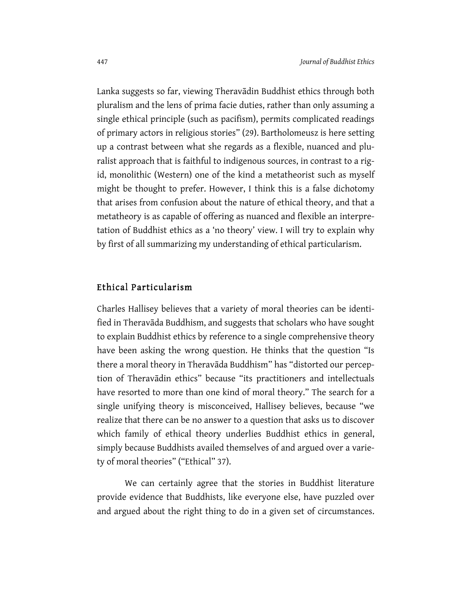Lanka suggests so far, viewing Theravādin Buddhist ethics through both pluralism and the lens of prima facie duties, rather than only assuming a single ethical principle (such as pacifism), permits complicated readings of primary actors in religious stories" (29). Bartholomeusz is here setting up a contrast between what she regards as a flexible, nuanced and pluralist approach that is faithful to indigenous sources, in contrast to a rigid, monolithic (Western) one of the kind a metatheorist such as myself might be thought to prefer. However, I think this is a false dichotomy that arises from confusion about the nature of ethical theory, and that a metatheory is as capable of offering as nuanced and flexible an interpretation of Buddhist ethics as a 'no theory' view. I will try to explain why by first of all summarizing my understanding of ethical particularism.

#### Ethical Particularism

Charles Hallisey believes that a variety of moral theories can be identified in Theravāda Buddhism, and suggests that scholars who have sought to explain Buddhist ethics by reference to a single comprehensive theory have been asking the wrong question. He thinks that the question "Is there a moral theory in Theravāda Buddhism" has "distorted our perception of Theravādin ethics" because "its practitioners and intellectuals have resorted to more than one kind of moral theory." The search for a single unifying theory is misconceived, Hallisey believes, because "we realize that there can be no answer to a question that asks us to discover which family of ethical theory underlies Buddhist ethics in general, simply because Buddhists availed themselves of and argued over a variety of moral theories" ("Ethical" 37).

We can certainly agree that the stories in Buddhist literature provide evidence that Buddhists, like everyone else, have puzzled over and argued about the right thing to do in a given set of circumstances.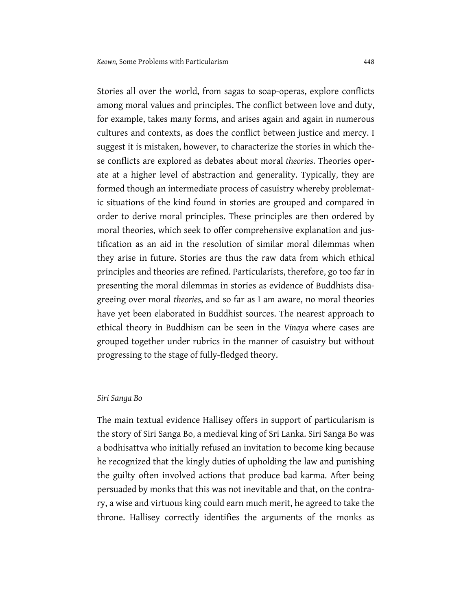Stories all over the world, from sagas to soap-operas, explore conflicts among moral values and principles. The conflict between love and duty, for example, takes many forms, and arises again and again in numerous cultures and contexts, as does the conflict between justice and mercy. I suggest it is mistaken, however, to characterize the stories in which these conflicts are explored as debates about moral *theories*. Theories operate at a higher level of abstraction and generality. Typically, they are formed though an intermediate process of casuistry whereby problematic situations of the kind found in stories are grouped and compared in order to derive moral principles. These principles are then ordered by moral theories, which seek to offer comprehensive explanation and justification as an aid in the resolution of similar moral dilemmas when they arise in future. Stories are thus the raw data from which ethical principles and theories are refined. Particularists, therefore, go too far in presenting the moral dilemmas in stories as evidence of Buddhists disagreeing over moral *theories*, and so far as I am aware, no moral theories have yet been elaborated in Buddhist sources. The nearest approach to ethical theory in Buddhism can be seen in the *Vinaya* where cases are grouped together under rubrics in the manner of casuistry but without progressing to the stage of fully-fledged theory.

#### *Siri Sanga Bo*

The main textual evidence Hallisey offers in support of particularism is the story of Siri Sanga Bo, a medieval king of Sri Lanka. Siri Sanga Bo was a bodhisattva who initially refused an invitation to become king because he recognized that the kingly duties of upholding the law and punishing the guilty often involved actions that produce bad karma. After being persuaded by monks that this was not inevitable and that, on the contrary, a wise and virtuous king could earn much merit, he agreed to take the throne. Hallisey correctly identifies the arguments of the monks as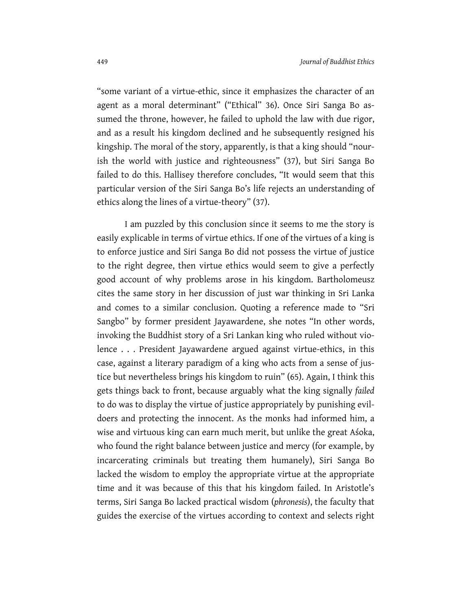"some variant of a virtue-ethic, since it emphasizes the character of an agent as a moral determinant" ("Ethical" 36). Once Siri Sanga Bo assumed the throne, however, he failed to uphold the law with due rigor, and as a result his kingdom declined and he subsequently resigned his kingship. The moral of the story, apparently, is that a king should "nourish the world with justice and righteousness" (37), but Siri Sanga Bo failed to do this. Hallisey therefore concludes, "It would seem that this particular version of the Siri Sanga Bo's life rejects an understanding of ethics along the lines of a virtue-theory" (37).

I am puzzled by this conclusion since it seems to me the story is easily explicable in terms of virtue ethics. If one of the virtues of a king is to enforce justice and Siri Sanga Bo did not possess the virtue of justice to the right degree, then virtue ethics would seem to give a perfectly good account of why problems arose in his kingdom. Bartholomeusz cites the same story in her discussion of just war thinking in Sri Lanka and comes to a similar conclusion. Quoting a reference made to "Sri Sangbo" by former president Jayawardene, she notes "In other words, invoking the Buddhist story of a Sri Lankan king who ruled without violence . . . President Jayawardene argued against virtue-ethics, in this case, against a literary paradigm of a king who acts from a sense of justice but nevertheless brings his kingdom to ruin" (65). Again, I think this gets things back to front, because arguably what the king signally *failed* to do was to display the virtue of justice appropriately by punishing evildoers and protecting the innocent. As the monks had informed him, a wise and virtuous king can earn much merit, but unlike the great Aśoka, who found the right balance between justice and mercy (for example, by incarcerating criminals but treating them humanely), Siri Sanga Bo lacked the wisdom to employ the appropriate virtue at the appropriate time and it was because of this that his kingdom failed. In Aristotle's terms, Siri Sanga Bo lacked practical wisdom (*phronesis*), the faculty that guides the exercise of the virtues according to context and selects right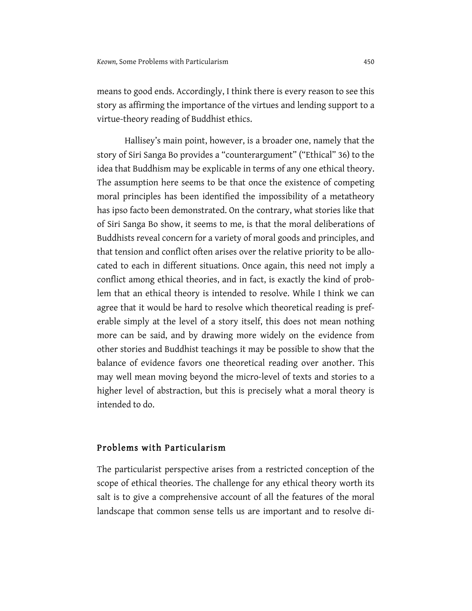means to good ends. Accordingly, I think there is every reason to see this story as affirming the importance of the virtues and lending support to a virtue-theory reading of Buddhist ethics.

Hallisey's main point, however, is a broader one, namely that the story of Siri Sanga Bo provides a "counterargument" ("Ethical" 36) to the idea that Buddhism may be explicable in terms of any one ethical theory. The assumption here seems to be that once the existence of competing moral principles has been identified the impossibility of a metatheory has ipso facto been demonstrated. On the contrary, what stories like that of Siri Sanga Bo show, it seems to me, is that the moral deliberations of Buddhists reveal concern for a variety of moral goods and principles, and that tension and conflict often arises over the relative priority to be allocated to each in different situations. Once again, this need not imply a conflict among ethical theories, and in fact, is exactly the kind of problem that an ethical theory is intended to resolve. While I think we can agree that it would be hard to resolve which theoretical reading is preferable simply at the level of a story itself, this does not mean nothing more can be said, and by drawing more widely on the evidence from other stories and Buddhist teachings it may be possible to show that the balance of evidence favors one theoretical reading over another. This may well mean moving beyond the micro-level of texts and stories to a higher level of abstraction, but this is precisely what a moral theory is intended to do.

### Problems with Particularism

The particularist perspective arises from a restricted conception of the scope of ethical theories. The challenge for any ethical theory worth its salt is to give a comprehensive account of all the features of the moral landscape that common sense tells us are important and to resolve di-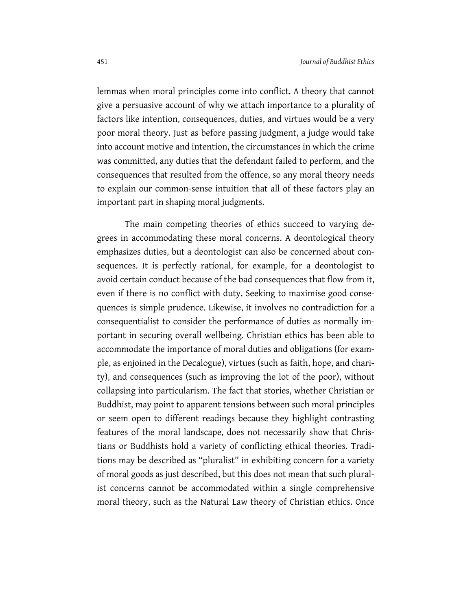lemmas when moral principles come into conflict. A theory that cannot give a persuasive account of why we attach importance to a plurality of factors like intention, consequences, duties, and virtues would be a very poor moral theory. Just as before passing judgment, a judge would take into account motive and intention, the circumstances in which the crime was committed, any duties that the defendant failed to perform, and the consequences that resulted from the offence, so any moral theory needs to explain our common-sense intuition that all of these factors play an important part in shaping moral judgments.

The main competing theories of ethics succeed to varying degrees in accommodating these moral concerns. A deontological theory emphasizes duties, but a deontologist can also be concerned about consequences. It is perfectly rational, for example, for a deontologist to avoid certain conduct because of the bad consequences that flow from it, even if there is no conflict with duty. Seeking to maximise good consequences is simple prudence. Likewise, it involves no contradiction for a consequentialist to consider the performance of duties as normally important in securing overall wellbeing. Christian ethics has been able to accommodate the importance of moral duties and obligations (for example, as enjoined in the Decalogue), virtues (such as faith, hope, and charity), and consequences (such as improving the lot of the poor), without collapsing into particularism. The fact that stories, whether Christian or Buddhist, may point to apparent tensions between such moral principles or seem open to different readings because they highlight contrasting features of the moral landscape, does not necessarily show that Christians or Buddhists hold a variety of conflicting ethical theories. Traditions may be described as "pluralist" in exhibiting concern for a variety of moral goods as just described, but this does not mean that such pluralist concerns cannot be accommodated within a single comprehensive moral theory, such as the Natural Law theory of Christian ethics. Once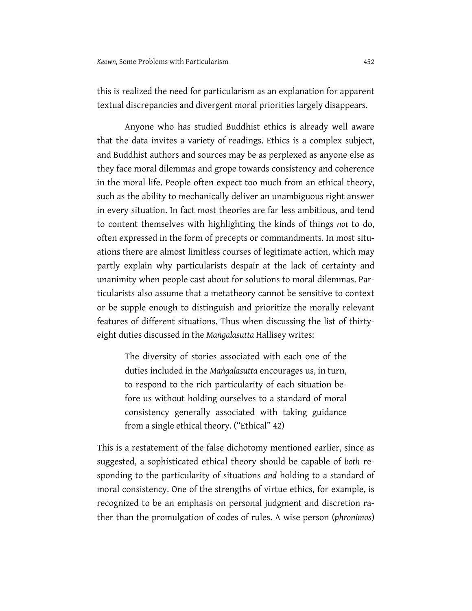this is realized the need for particularism as an explanation for apparent textual discrepancies and divergent moral priorities largely disappears.

Anyone who has studied Buddhist ethics is already well aware that the data invites a variety of readings. Ethics is a complex subject, and Buddhist authors and sources may be as perplexed as anyone else as they face moral dilemmas and grope towards consistency and coherence in the moral life. People often expect too much from an ethical theory, such as the ability to mechanically deliver an unambiguous right answer in every situation. In fact most theories are far less ambitious, and tend to content themselves with highlighting the kinds of things *not* to do, often expressed in the form of precepts or commandments. In most situations there are almost limitless courses of legitimate action, which may partly explain why particularists despair at the lack of certainty and unanimity when people cast about for solutions to moral dilemmas. Particularists also assume that a metatheory cannot be sensitive to context or be supple enough to distinguish and prioritize the morally relevant features of different situations. Thus when discussing the list of thirtyeight duties discussed in the *Maṅgalasutta* Hallisey writes:

> The diversity of stories associated with each one of the duties included in the *Maṅgalasutta* encourages us, in turn, to respond to the rich particularity of each situation before us without holding ourselves to a standard of moral consistency generally associated with taking guidance from a single ethical theory. ("Ethical" 42)

This is a restatement of the false dichotomy mentioned earlier, since as suggested, a sophisticated ethical theory should be capable of *both* responding to the particularity of situations *and* holding to a standard of moral consistency. One of the strengths of virtue ethics, for example, is recognized to be an emphasis on personal judgment and discretion rather than the promulgation of codes of rules. A wise person (*phronimos*)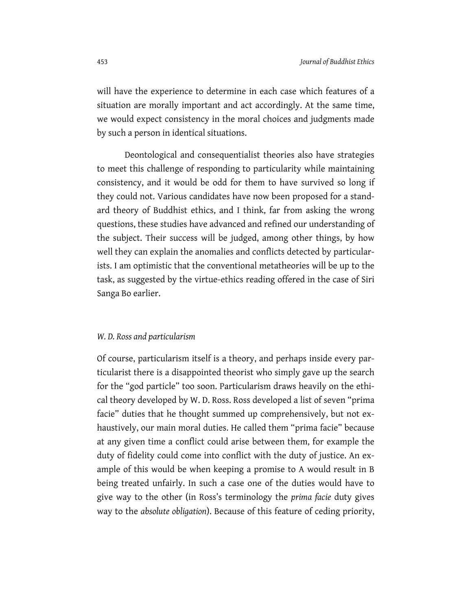will have the experience to determine in each case which features of a situation are morally important and act accordingly. At the same time, we would expect consistency in the moral choices and judgments made by such a person in identical situations.

Deontological and consequentialist theories also have strategies to meet this challenge of responding to particularity while maintaining consistency, and it would be odd for them to have survived so long if they could not. Various candidates have now been proposed for a standard theory of Buddhist ethics, and I think, far from asking the wrong questions, these studies have advanced and refined our understanding of the subject. Their success will be judged, among other things, by how well they can explain the anomalies and conflicts detected by particularists. I am optimistic that the conventional metatheories will be up to the task, as suggested by the virtue-ethics reading offered in the case of Siri Sanga Bo earlier.

#### *W. D. Ross and particularism*

Of course, particularism itself is a theory, and perhaps inside every particularist there is a disappointed theorist who simply gave up the search for the "god particle" too soon. Particularism draws heavily on the ethical theory developed by W. D. Ross. Ross developed a list of seven "prima facie" duties that he thought summed up comprehensively, but not exhaustively, our main moral duties. He called them "prima facie" because at any given time a conflict could arise between them, for example the duty of fidelity could come into conflict with the duty of justice. An example of this would be when keeping a promise to A would result in B being treated unfairly. In such a case one of the duties would have to give way to the other (in Ross's terminology the *prima facie* duty gives way to the *absolute obligation*). Because of this feature of ceding priority,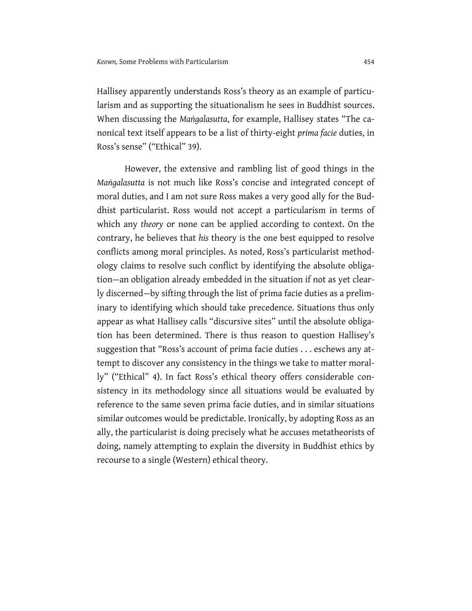Hallisey apparently understands Ross's theory as an example of particularism and as supporting the situationalism he sees in Buddhist sources. When discussing the *Maṅgalasutta*, for example, Hallisey states "The canonical text itself appears to be a list of thirty-eight *prima facie* duties, in Ross's sense" ("Ethical" 39).

However, the extensive and rambling list of good things in the *Maṅgalasutta* is not much like Ross's concise and integrated concept of moral duties, and I am not sure Ross makes a very good ally for the Buddhist particularist. Ross would not accept a particularism in terms of which any *theory* or none can be applied according to context. On the contrary, he believes that *his* theory is the one best equipped to resolve conflicts among moral principles. As noted, Ross's particularist methodology claims to resolve such conflict by identifying the absolute obligation—an obligation already embedded in the situation if not as yet clearly discerned—by sifting through the list of prima facie duties as a preliminary to identifying which should take precedence. Situations thus only appear as what Hallisey calls "discursive sites" until the absolute obligation has been determined. There is thus reason to question Hallisey's suggestion that "Ross's account of prima facie duties . . . eschews any attempt to discover any consistency in the things we take to matter morally" ("Ethical" 4). In fact Ross's ethical theory offers considerable consistency in its methodology since all situations would be evaluated by reference to the same seven prima facie duties, and in similar situations similar outcomes would be predictable. Ironically, by adopting Ross as an ally, the particularist is doing precisely what he accuses metatheorists of doing, namely attempting to explain the diversity in Buddhist ethics by recourse to a single (Western) ethical theory.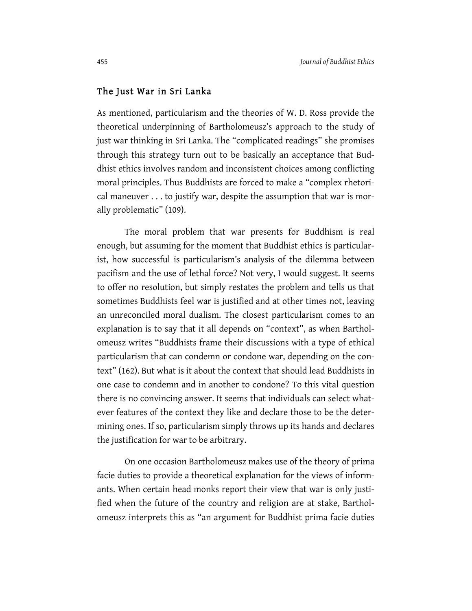#### The Just War in Sri Lanka

As mentioned, particularism and the theories of W. D. Ross provide the theoretical underpinning of Bartholomeusz's approach to the study of just war thinking in Sri Lanka. The "complicated readings" she promises through this strategy turn out to be basically an acceptance that Buddhist ethics involves random and inconsistent choices among conflicting moral principles. Thus Buddhists are forced to make a "complex rhetorical maneuver . . . to justify war, despite the assumption that war is morally problematic" (109).

The moral problem that war presents for Buddhism is real enough, but assuming for the moment that Buddhist ethics is particularist, how successful is particularism's analysis of the dilemma between pacifism and the use of lethal force? Not very, I would suggest. It seems to offer no resolution, but simply restates the problem and tells us that sometimes Buddhists feel war is justified and at other times not, leaving an unreconciled moral dualism. The closest particularism comes to an explanation is to say that it all depends on "context", as when Bartholomeusz writes "Buddhists frame their discussions with a type of ethical particularism that can condemn or condone war, depending on the context" (162). But what is it about the context that should lead Buddhists in one case to condemn and in another to condone? To this vital question there is no convincing answer. It seems that individuals can select whatever features of the context they like and declare those to be the determining ones. If so, particularism simply throws up its hands and declares the justification for war to be arbitrary.

On one occasion Bartholomeusz makes use of the theory of prima facie duties to provide a theoretical explanation for the views of informants. When certain head monks report their view that war is only justified when the future of the country and religion are at stake, Bartholomeusz interprets this as "an argument for Buddhist prima facie duties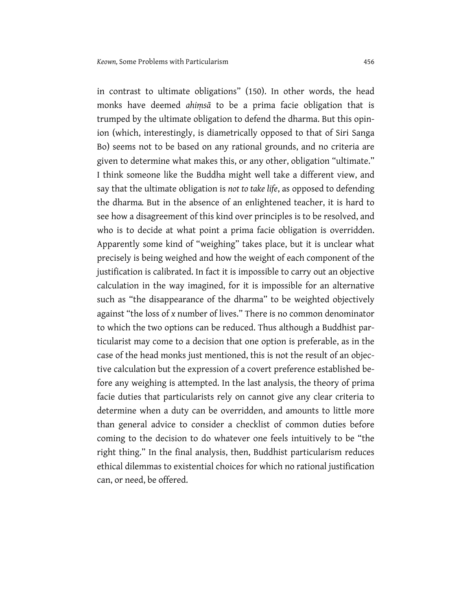in contrast to ultimate obligations" (150). In other words, the head monks have deemed *ahiṃsā* to be a prima facie obligation that is trumped by the ultimate obligation to defend the dharma. But this opinion (which, interestingly, is diametrically opposed to that of Siri Sanga Bo) seems not to be based on any rational grounds, and no criteria are given to determine what makes this, or any other, obligation "ultimate." I think someone like the Buddha might well take a different view, and say that the ultimate obligation is *not to take life*, as opposed to defending the dharma*.* But in the absence of an enlightened teacher, it is hard to see how a disagreement of this kind over principles is to be resolved, and who is to decide at what point a prima facie obligation is overridden. Apparently some kind of "weighing" takes place, but it is unclear what precisely is being weighed and how the weight of each component of the justification is calibrated. In fact it is impossible to carry out an objective calculation in the way imagined, for it is impossible for an alternative such as "the disappearance of the dharma" to be weighted objectively against "the loss of *x* number of lives." There is no common denominator to which the two options can be reduced. Thus although a Buddhist particularist may come to a decision that one option is preferable, as in the case of the head monks just mentioned, this is not the result of an objective calculation but the expression of a covert preference established before any weighing is attempted. In the last analysis, the theory of prima facie duties that particularists rely on cannot give any clear criteria to determine when a duty can be overridden, and amounts to little more than general advice to consider a checklist of common duties before coming to the decision to do whatever one feels intuitively to be "the right thing." In the final analysis, then, Buddhist particularism reduces ethical dilemmas to existential choices for which no rational justification can, or need, be offered.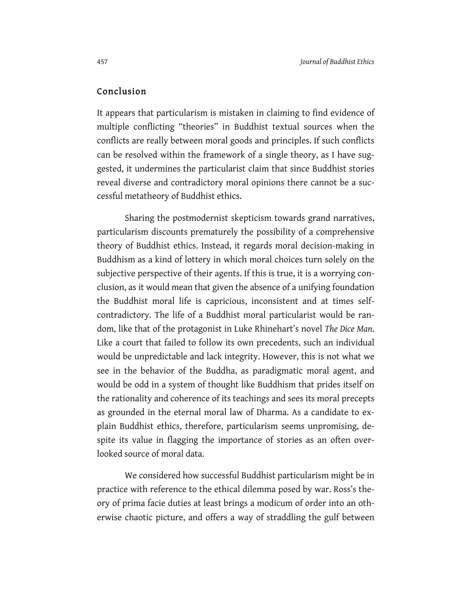## Conclusion

It appears that particularism is mistaken in claiming to find evidence of multiple conflicting "theories" in Buddhist textual sources when the conflicts are really between moral goods and principles. If such conflicts can be resolved within the framework of a single theory, as I have suggested, it undermines the particularist claim that since Buddhist stories reveal diverse and contradictory moral opinions there cannot be a successful metatheory of Buddhist ethics.

Sharing the postmodernist skepticism towards grand narratives, particularism discounts prematurely the possibility of a comprehensive theory of Buddhist ethics. Instead, it regards moral decision-making in Buddhism as a kind of lottery in which moral choices turn solely on the subjective perspective of their agents. If this is true, it is a worrying conclusion, as it would mean that given the absence of a unifying foundation the Buddhist moral life is capricious, inconsistent and at times selfcontradictory. The life of a Buddhist moral particularist would be random, like that of the protagonist in Luke Rhinehart's novel *The Dice Man*. Like a court that failed to follow its own precedents, such an individual would be unpredictable and lack integrity. However, this is not what we see in the behavior of the Buddha, as paradigmatic moral agent, and would be odd in a system of thought like Buddhism that prides itself on the rationality and coherence of its teachings and sees its moral precepts as grounded in the eternal moral law of Dharma. As a candidate to explain Buddhist ethics, therefore, particularism seems unpromising, despite its value in flagging the importance of stories as an often overlooked source of moral data.

We considered how successful Buddhist particularism might be in practice with reference to the ethical dilemma posed by war. Ross's theory of prima facie duties at least brings a modicum of order into an otherwise chaotic picture, and offers a way of straddling the gulf between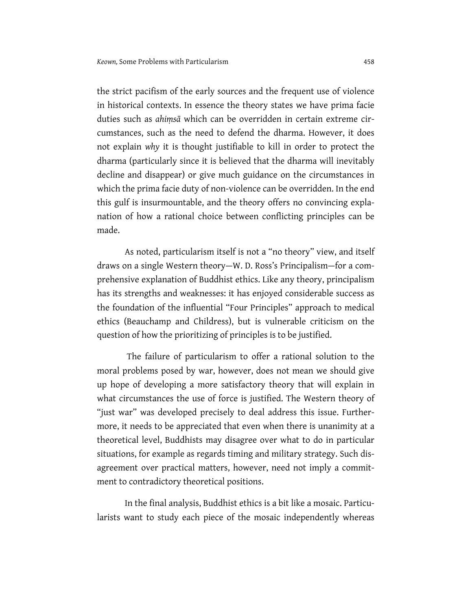the strict pacifism of the early sources and the frequent use of violence in historical contexts. In essence the theory states we have prima facie duties such as *ahiṃsā* which can be overridden in certain extreme circumstances, such as the need to defend the dharma. However, it does not explain *why* it is thought justifiable to kill in order to protect the dharma (particularly since it is believed that the dharma will inevitably decline and disappear) or give much guidance on the circumstances in which the prima facie duty of non-violence can be overridden. In the end this gulf is insurmountable, and the theory offers no convincing explanation of how a rational choice between conflicting principles can be made.

As noted, particularism itself is not a "no theory" view, and itself draws on a single Western theory—W. D. Ross's Principalism—for a comprehensive explanation of Buddhist ethics. Like any theory, principalism has its strengths and weaknesses: it has enjoyed considerable success as the foundation of the influential "Four Principles" approach to medical ethics (Beauchamp and Childress), but is vulnerable criticism on the question of how the prioritizing of principles is to be justified.

The failure of particularism to offer a rational solution to the moral problems posed by war, however, does not mean we should give up hope of developing a more satisfactory theory that will explain in what circumstances the use of force is justified. The Western theory of "just war" was developed precisely to deal address this issue. Furthermore, it needs to be appreciated that even when there is unanimity at a theoretical level, Buddhists may disagree over what to do in particular situations, for example as regards timing and military strategy. Such disagreement over practical matters, however, need not imply a commitment to contradictory theoretical positions.

In the final analysis, Buddhist ethics is a bit like a mosaic. Particularists want to study each piece of the mosaic independently whereas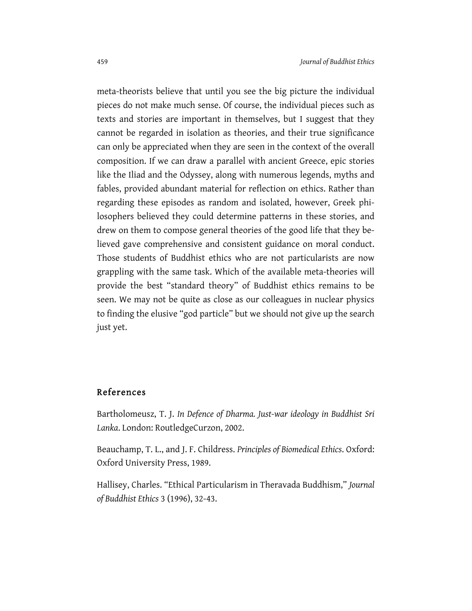meta-theorists believe that until you see the big picture the individual pieces do not make much sense. Of course, the individual pieces such as texts and stories are important in themselves, but I suggest that they cannot be regarded in isolation as theories, and their true significance can only be appreciated when they are seen in the context of the overall composition. If we can draw a parallel with ancient Greece, epic stories like the Iliad and the Odyssey, along with numerous legends, myths and fables, provided abundant material for reflection on ethics. Rather than regarding these episodes as random and isolated, however, Greek philosophers believed they could determine patterns in these stories, and drew on them to compose general theories of the good life that they believed gave comprehensive and consistent guidance on moral conduct. Those students of Buddhist ethics who are not particularists are now grappling with the same task. Which of the available meta-theories will provide the best "standard theory" of Buddhist ethics remains to be seen. We may not be quite as close as our colleagues in nuclear physics to finding the elusive "god particle" but we should not give up the search just yet.

## References

Bartholomeusz, T. J. *In Defence of Dharma. Just-war ideology in Buddhist Sri Lanka*. London: RoutledgeCurzon, 2002.

Beauchamp, T. L., and J. F. Childress. *Principles of Biomedical Ethics*. Oxford: Oxford University Press, 1989.

Hallisey, Charles. "Ethical Particularism in Theravada Buddhism," *Journal of Buddhist Ethics* 3 (1996), 32-43.